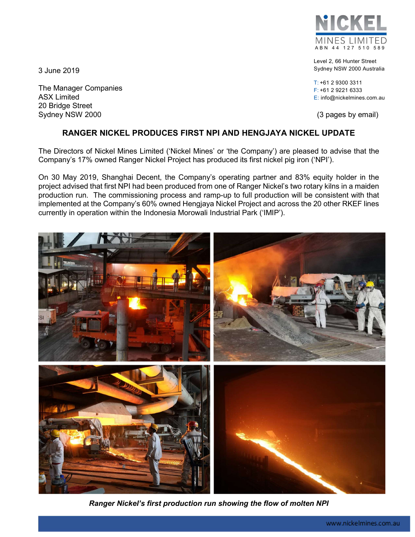MINES LIMITED A B N 44 127 510 589

Level 2, 66 Hunter Street Sydney NSW 2000 Australia

T: +61 2 9300 3311 F: +61 2 9221 6333 E: info@nickelmines.com.au

# RANGER NICKEL PRODUCES FIRST NPI AND HENGJAYA NICKEL UPDATE

The Directors of Nickel Mines Limited ('Nickel Mines' or 'the Company') are pleased to advise that the Company's 17% owned Ranger Nickel Project has produced its first nickel pig iron ('NPI').

On 30 May 2019, Shanghai Decent, the Company's operating partner and 83% equity holder in the project advised that first NPI had been produced from one of Ranger Nickel's two rotary kilns in a maiden production run. The commissioning process and ramp-up to full production will be consistent with that implemented at the Company's 60% owned Hengjaya Nickel Project and across the 20 other RKEF lines currently in operation within the Indonesia Morowali Industrial Park ('IMIP').



Ranger Nickel's first production run showing the flow of molten NPI



3 June 2019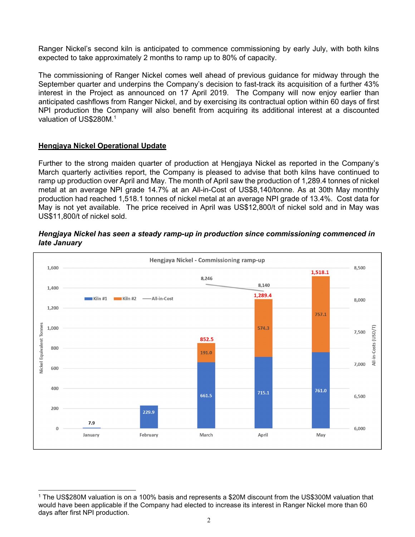Ranger Nickel's second kiln is anticipated to commence commissioning by early July, with both kilns expected to take approximately 2 months to ramp up to 80% of capacity.

The commissioning of Ranger Nickel comes well ahead of previous guidance for midway through the September quarter and underpins the Company's decision to fast-track its acquisition of a further 43% interest in the Project as announced on 17 April 2019. The Company will now enjoy earlier than anticipated cashflows from Ranger Nickel, and by exercising its contractual option within 60 days of first NPI production the Company will also benefit from acquiring its additional interest at a discounted valuation of US\$280M.<sup>1</sup>

# Hengjaya Nickel Operational Update

Further to the strong maiden quarter of production at Hengjaya Nickel as reported in the Company's March quarterly activities report, the Company is pleased to advise that both kilns have continued to ramp up production over April and May. The month of April saw the production of 1,289.4 tonnes of nickel metal at an average NPI grade 14.7% at an All-in-Cost of US\$8,140/tonne. As at 30th May monthly production had reached 1,518.1 tonnes of nickel metal at an average NPI grade of 13.4%. Cost data for May is not yet available. The price received in April was US\$12,800/t of nickel sold and in May was US\$11,800/t of nickel sold.

### Hengjaya Nickel has seen a steady ramp-up in production since commissioning commenced in late January



 $\overline{a}$ 1 The US\$280M valuation is on a 100% basis and represents a \$20M discount from the US\$300M valuation that would have been applicable if the Company had elected to increase its interest in Ranger Nickel more than 60 days after first NPI production.